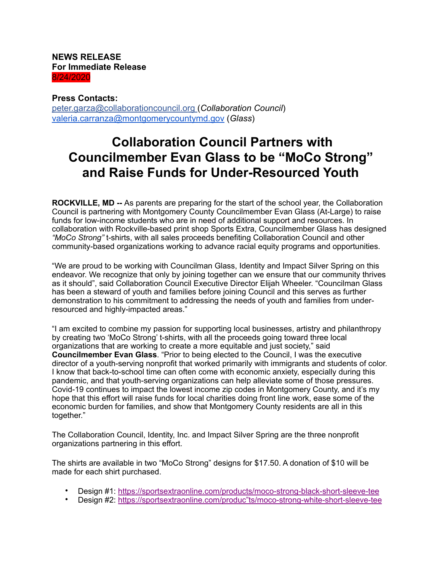**NEWS RELEASE For Immediate Release** 8/24/2020

## **Press Contacts:**

[peter.garza@collaborationcouncil.org \(](mailto:peter.garza@collaborationcouncil.org%2520(Collaboration)*Collaboration Council*) [valeria.carranza@montgomerycountymd.gov](mailto:valeria.carranza@montgomerycountymd.gov) (*Glass*)

## **Collaboration Council Partners with Councilmember Evan Glass to be "MoCo Strong" and Raise Funds for Under-Resourced Youth**

**ROCKVILLE, MD --** As parents are preparing for the start of the school year, the Collaboration Council is partnering with Montgomery County Councilmember Evan Glass (At-Large) to raise funds for low-income students who are in need of additional support and resources. In collaboration with Rockville-based print shop Sports Extra, Councilmember Glass has designed *"MoCo Strong"* t-shirts, with all sales proceeds benefiting Collaboration Council and other community-based organizations working to advance racial equity programs and opportunities.

"We are proud to be working with Councilman Glass, Identity and Impact Silver Spring on this endeavor. We recognize that only by joining together can we ensure that our community thrives as it should", said Collaboration Council Executive Director Elijah Wheeler. "Councilman Glass has been a steward of youth and families before joining Council and this serves as further demonstration to his commitment to addressing the needs of youth and families from underresourced and highly-impacted areas."

"I am excited to combine my passion for supporting local businesses, artistry and philanthropy by creating two 'MoCo Strong' t-shirts, with all the proceeds going toward three local organizations that are working to create a more equitable and just society," said **Councilmember Evan Glass**. "Prior to being elected to the Council, I was the executive director of a youth-serving nonprofit that worked primarily with immigrants and students of color. I know that back-to-school time can often come with economic anxiety, especially during this pandemic, and that youth-serving organizations can help alleviate some of those pressures. Covid-19 continues to impact the lowest income zip codes in Montgomery County, and it's my hope that this effort will raise funds for local charities doing front line work, ease some of the economic burden for families, and show that Montgomery County residents are all in this together."

The Collaboration Council, Identity, Inc. and Impact Silver Spring are the three nonprofit organizations partnering in this effort.

The shirts are available in two "MoCo Strong" designs for \$17.50. A donation of \$10 will be made for each shirt purchased.

- Design #1: [https://sportsextraonline.com/products/moco-strong-black-short-sleeve-tee](https://gcc01.safelinks.protection.outlook.com/?url=https%253A%252F%252Fsportsextraonline.com%252Fproducts%252Fmoco-strong-black-short-sleeve-tee&data=02%257C01%257CDorie.Hightower%2540montgomerycountymd.gov%257C32801b323f9b4507a88e08d7fe77b79d%257C6e01b1f9b1e54073ac97778069a0ad64%257C0%257C0%257C637257662471062024&sdata=xzs245sjubj95y5d%252B0kwOQiI9hxKK4X3xSjLQ8RBkpA%253D&reserved=0)
- Design #2: [https://sportsextraonline.com/produc"ts/moco-strong-white-short-sleeve-tee](https://gcc01.safelinks.protection.outlook.com/?url=https%253A%252F%252Fsportsextraonline.com%252Fproducts%252Fmoco-strong-white-short-sleeve-tee&data=02%257C01%257CDorie.Hightower%2540montgomerycountymd.gov%257C32801b323f9b4507a88e08d7fe77b79d%257C6e01b1f9b1e54073ac97778069a0ad64%257C0%257C0%257C637257662471072018&sdata=wFMwgoeHST3RXhmgYyMX6Zg62cspY0%252BY4MLRUtxrqis%253D&reserved=0)